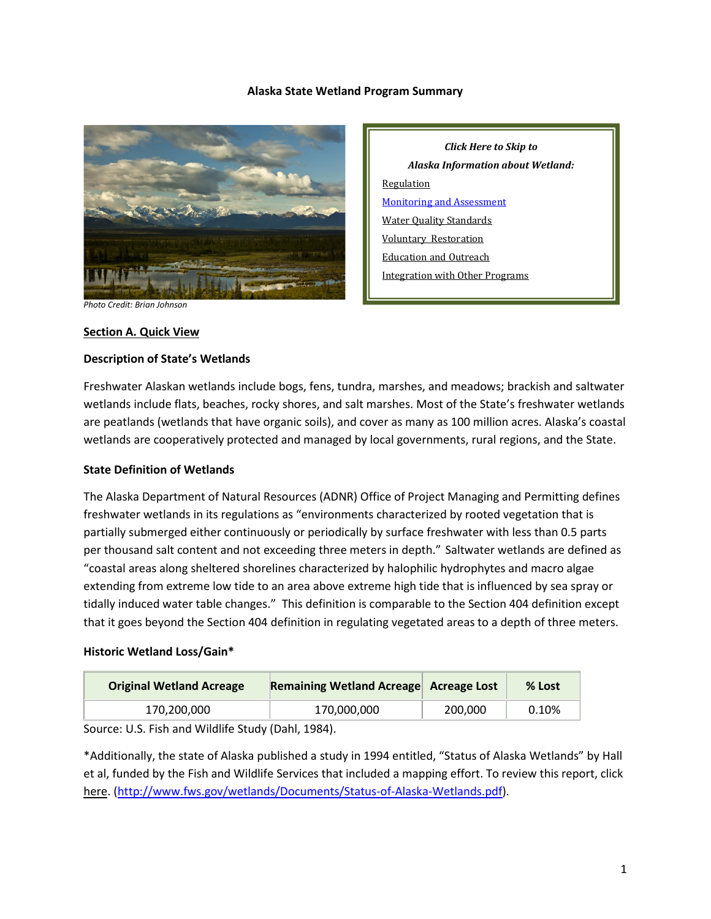#### **Alaska State Wetland Program Summary**



*Click Here to Skip to Alaska Information about Wetland:* **[Regulation](#page-2-0)** [Monitoring and](#page-5-0) Assessment [Water Quality Standards](#page-6-0) [Voluntary](#page-7-0) [Restoration](#page-7-1) [Education and Outreach](#page-8-0) [Integration](#page-8-1) with Other Programs

#### *Photo Credit: Brian Johnson*

#### **Section A. Quick View**

#### **Description of State's Wetlands**

Freshwater Alaskan wetlands include bogs, fens, tundra, marshes, and meadows; brackish and saltwater wetlands include flats, beaches, rocky shores, and salt marshes. Most of the State's freshwater wetlands are peatlands (wetlands that have organic soils), and cover as many as 100 million acres. Alaska's coastal wetlands are cooperatively protected and managed by local governments, rural regions, and the State.

#### **State Definition of Wetlands**

The Alaska Department of Natural Resources (ADNR) Office of Project Managing and Permitting defines freshwater wetlands in its regulations as "environments characterized by rooted vegetation that is partially submerged either continuously or periodically by surface freshwater with less than 0.5 parts per thousand salt content and not exceeding three meters in depth." Saltwater wetlands are defined as "coastal areas along sheltered shorelines characterized by halophilic hydrophytes and macro algae extending from extreme low tide to an area above extreme high tide that is influenced by sea spray or tidally induced water table changes." This definition is comparable to the Section 404 definition except that it goes beyond the Section 404 definition in regulating vegetated areas to a depth of three meters.

#### **Historic Wetland Loss/Gain\***

| <b>Original Wetland Acreage</b> | Remaining Wetland Acreage Acreage Lost |         | % Lost |
|---------------------------------|----------------------------------------|---------|--------|
| 170,200,000                     | 170,000,000                            | 200.000 | 0.10%  |

Source: U.S. Fish and Wildlife Study (Dahl, 1984).

\*Additionally, the state of Alaska published a study in 1994 entitled, "Status of Alaska Wetlands" by Hall et al, funded by the Fish and Wildlife Services that included a mapping effort. To review this report, click here. [\(http://www.fws.gov/wetlands/Documents/Status-of-Alaska-Wetlands.pdf\)](http://www.fws.gov/wetlands/Documents/Status-of-Alaska-Wetlands.pdf).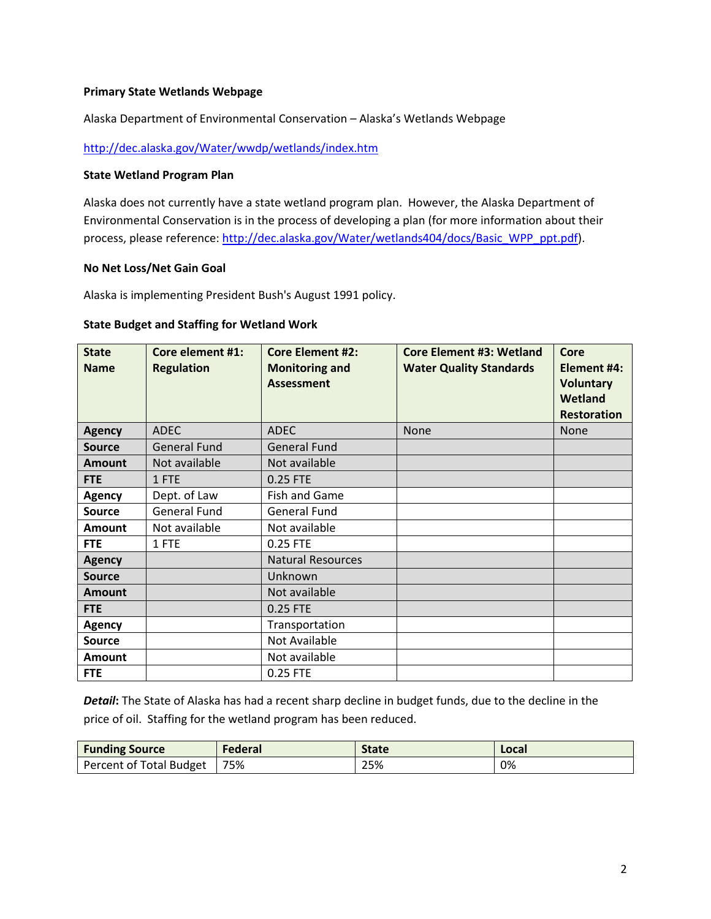### **Primary State Wetlands Webpage**

Alaska Department of Environmental Conservation – Alaska's Wetlands Webpage

<http://dec.alaska.gov/Water/wwdp/wetlands/index.htm>

#### **State Wetland Program Plan**

Alaska does not currently have a state wetland program plan. However, the Alaska Department of Environmental Conservation is in the process of developing a plan (for more information about their process, please reference[: http://dec.alaska.gov/Water/wetlands404/docs/Basic\\_WPP\\_ppt.pdf\)](http://dec.alaska.gov/Water/wetlands404/docs/Basic_WPP_ppt.pdf).

#### **No Net Loss/Net Gain Goal**

Alaska is implementing President Bush's August 1991 policy.

#### **State Budget and Staffing for Wetland Work**

| <b>State</b><br><b>Name</b> | <b>Core element #1:</b><br><b>Regulation</b> | <b>Core Element #2:</b><br><b>Monitoring and</b><br><b>Assessment</b> | <b>Core Element #3: Wetland</b><br><b>Water Quality Standards</b> | Core<br>Element #4:<br><b>Voluntary</b><br><b>Wetland</b><br><b>Restoration</b> |
|-----------------------------|----------------------------------------------|-----------------------------------------------------------------------|-------------------------------------------------------------------|---------------------------------------------------------------------------------|
| <b>Agency</b>               | <b>ADEC</b>                                  | <b>ADEC</b>                                                           | <b>None</b>                                                       | None                                                                            |
| <b>Source</b>               | <b>General Fund</b>                          | <b>General Fund</b>                                                   |                                                                   |                                                                                 |
| <b>Amount</b>               | Not available                                | Not available                                                         |                                                                   |                                                                                 |
| <b>FTE</b>                  | 1 FTE                                        | 0.25 FTE                                                              |                                                                   |                                                                                 |
| <b>Agency</b>               | Dept. of Law                                 | Fish and Game                                                         |                                                                   |                                                                                 |
| <b>Source</b>               | <b>General Fund</b>                          | <b>General Fund</b>                                                   |                                                                   |                                                                                 |
| <b>Amount</b>               | Not available                                | Not available                                                         |                                                                   |                                                                                 |
| <b>FTE</b>                  | 1 FTE                                        | 0.25 FTE                                                              |                                                                   |                                                                                 |
| <b>Agency</b>               |                                              | <b>Natural Resources</b>                                              |                                                                   |                                                                                 |
| <b>Source</b>               |                                              | Unknown                                                               |                                                                   |                                                                                 |
| Amount                      |                                              | Not available                                                         |                                                                   |                                                                                 |
| <b>FTE</b>                  |                                              | 0.25 FTE                                                              |                                                                   |                                                                                 |
| <b>Agency</b>               |                                              | Transportation                                                        |                                                                   |                                                                                 |
| <b>Source</b>               |                                              | Not Available                                                         |                                                                   |                                                                                 |
| <b>Amount</b>               |                                              | Not available                                                         |                                                                   |                                                                                 |
| <b>FTE</b>                  |                                              | 0.25 FTE                                                              |                                                                   |                                                                                 |

*Detail***:** The State of Alaska has had a recent sharp decline in budget funds, due to the decline in the price of oil. Staffing for the wetland program has been reduced.

| <b>Funding Source</b>   | Federal | State | Local |
|-------------------------|---------|-------|-------|
| Percent of Total Budget | 75%     | 25%   | 0%    |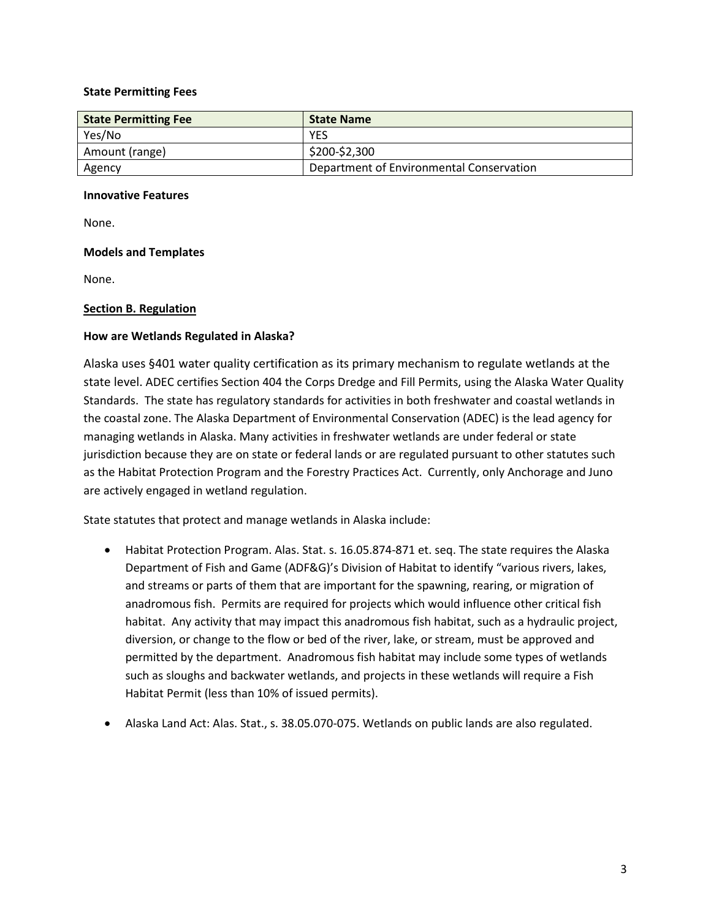### **State Permitting Fees**

| <b>State Permitting Fee</b> | <b>State Name</b>                        |
|-----------------------------|------------------------------------------|
| Yes/No                      | <b>YES</b>                               |
| Amount (range)              | \$200-\$2,300                            |
| Agency                      | Department of Environmental Conservation |

## **Innovative Features**

None.

# **Models and Templates**

None.

# <span id="page-2-0"></span>**Section B. Regulation**

# **How are Wetlands Regulated in Alaska?**

Alaska uses §401 water quality certification as its primary mechanism to regulate wetlands at the state level. ADEC certifies Section 404 the Corps Dredge and Fill Permits, using the Alaska Water Quality Standards. The state has regulatory standards for activities in both freshwater and coastal wetlands in the coastal zone. The Alaska Department of Environmental Conservation (ADEC) is the lead agency for managing wetlands in Alaska. Many activities in freshwater wetlands are under federal or state jurisdiction because they are on state or federal lands or are regulated pursuant to other statutes such as the Habitat Protection Program and the Forestry Practices Act. Currently, only Anchorage and Juno are actively engaged in wetland regulation.

State statutes that protect and manage wetlands in Alaska include:

- Habitat Protection Program. Alas. Stat. s. 16.05.874-871 et. seq. The state requires the Alaska Department of Fish and Game (ADF&G)'s Division of Habitat to identify "various rivers, lakes, and streams or parts of them that are important for the spawning, rearing, or migration of anadromous fish. Permits are required for projects which would influence other critical fish habitat. Any activity that may impact this anadromous fish habitat, such as a hydraulic project, diversion, or change to the flow or bed of the river, lake, or stream, must be approved and permitted by the department. Anadromous fish habitat may include some types of wetlands such as sloughs and backwater wetlands, and projects in these wetlands will require a Fish Habitat Permit (less than 10% of issued permits).
- Alaska Land Act: Alas. Stat., s. 38.05.070-075. Wetlands on public lands are also regulated.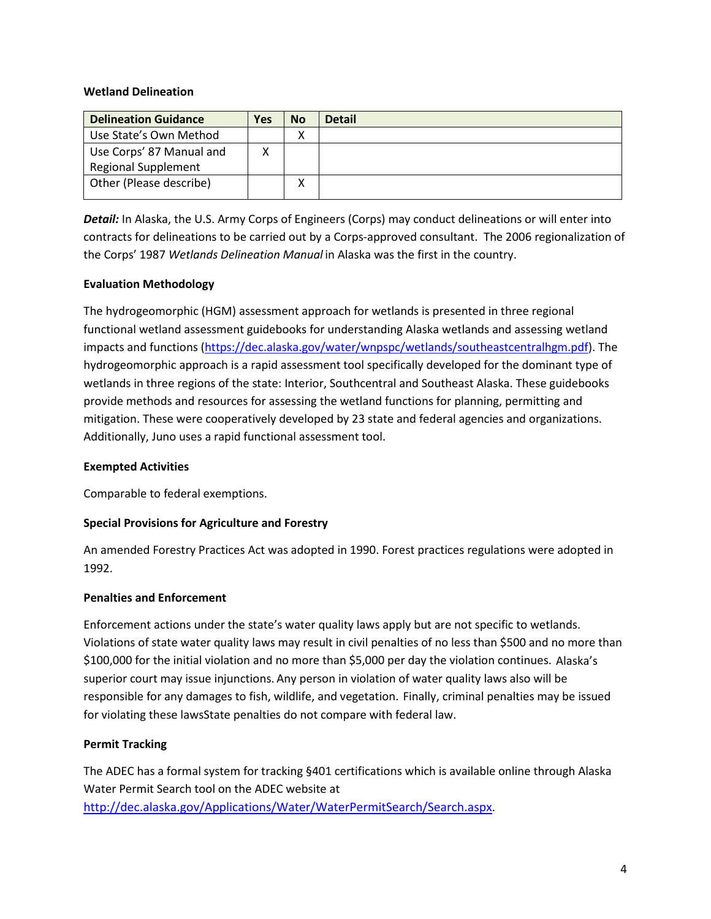### **Wetland Delineation**

| <b>Delineation Guidance</b> | Yes | <b>No</b>         | <b>Detail</b> |
|-----------------------------|-----|-------------------|---------------|
| Use State's Own Method      |     | $\checkmark$<br>Λ |               |
| Use Corps' 87 Manual and    |     |                   |               |
| <b>Regional Supplement</b>  |     |                   |               |
| Other (Please describe)     |     |                   |               |
|                             |     |                   |               |

*Detail:* In Alaska, the U.S. Army Corps of Engineers (Corps) may conduct delineations or will enter into contracts for delineations to be carried out by a Corps-approved consultant. The 2006 regionalization of the Corps' 1987 *Wetlands Delineation Manual* in Alaska was the first in the country.

# **Evaluation Methodology**

The hydrogeomorphic (HGM) assessment approach for wetlands is presented in three regional functional wetland assessment guidebooks for understanding Alaska wetlands and assessing wetland impacts and functions [\(https://dec.alaska.gov/water/wnpspc/wetlands/southeastcentralhgm.pdf\)](https://dec.alaska.gov/water/wnpspc/wetlands/southeastcentralhgm.pdf). The hydrogeomorphic approach is a rapid assessment tool specifically developed for the dominant type of wetlands in three regions of the state: Interior, Southcentral and Southeast Alaska. These guidebooks provide methods and resources for assessing the wetland functions for planning, permitting and mitigation. These were cooperatively developed by 23 state and federal agencies and organizations. Additionally, Juno uses a rapid functional assessment tool.

### **Exempted Activities**

Comparable to federal exemptions.

### **Special Provisions for Agriculture and Forestry**

An amended Forestry Practices Act was adopted in 1990. Forest practices regulations were adopted in 1992.

### **Penalties and Enforcement**

Enforcement actions under the state's water quality laws apply but are not specific to wetlands. Violations of state water quality laws may result in civil penalties of no less than \$500 and no more than \$100,000 for the initial violation and no more than \$5,000 per day the violation continues. Alaska's superior court may issue injunctions. Any person in violation of water quality laws also will be responsible for any damages to fish, wildlife, and vegetation. Finally, criminal penalties may be issued for violating these lawsState penalties do not compare with federal law.

### **Permit Tracking**

The ADEC has a formal system for tracking §401 certifications which is available online through Alaska Water Permit Search tool on the ADEC website at [http://dec.alaska.gov/Applications/Water/WaterPermitSearch/Search.aspx.](http://dec.alaska.gov/Applications/Water/WaterPermitSearch/Search.aspx)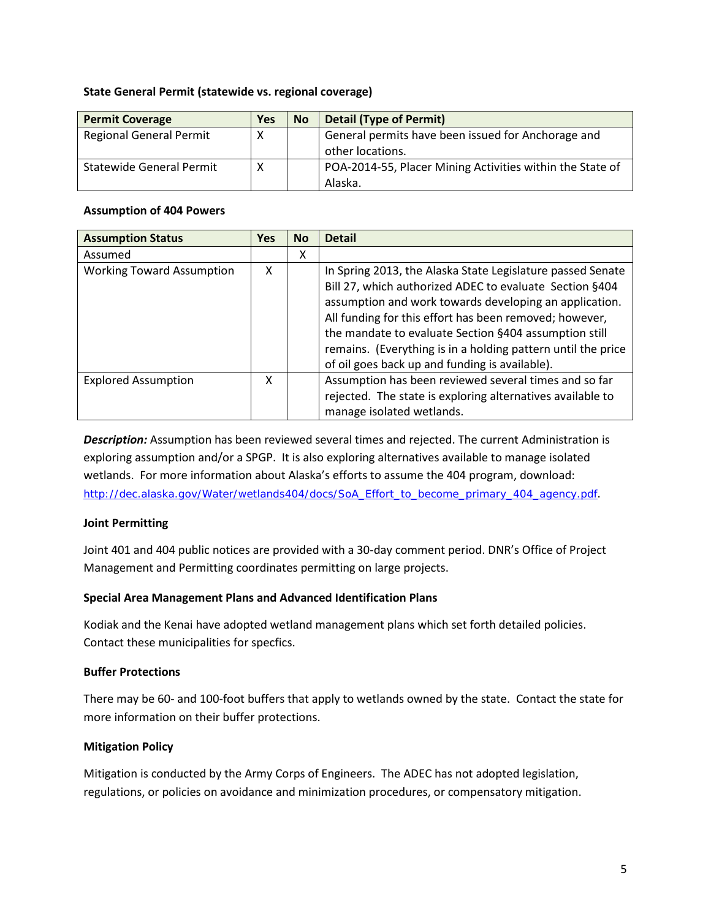#### **State General Permit (statewide vs. regional coverage)**

| <b>Permit Coverage</b>          | <b>Yes</b> | <b>No</b> | <b>Detail (Type of Permit)</b>                            |
|---------------------------------|------------|-----------|-----------------------------------------------------------|
| <b>Regional General Permit</b>  | х          |           | General permits have been issued for Anchorage and        |
|                                 |            |           | other locations.                                          |
| <b>Statewide General Permit</b> | х          |           | POA-2014-55, Placer Mining Activities within the State of |
|                                 |            |           | Alaska.                                                   |

#### **Assumption of 404 Powers**

| <b>Assumption Status</b>         | <b>Yes</b> | <b>No</b> | <b>Detail</b>                                                                                                                                                                                                                                                                                                                                                                                                        |
|----------------------------------|------------|-----------|----------------------------------------------------------------------------------------------------------------------------------------------------------------------------------------------------------------------------------------------------------------------------------------------------------------------------------------------------------------------------------------------------------------------|
| Assumed                          |            | x         |                                                                                                                                                                                                                                                                                                                                                                                                                      |
| <b>Working Toward Assumption</b> | x          |           | In Spring 2013, the Alaska State Legislature passed Senate<br>Bill 27, which authorized ADEC to evaluate Section §404<br>assumption and work towards developing an application.<br>All funding for this effort has been removed; however,<br>the mandate to evaluate Section §404 assumption still<br>remains. (Everything is in a holding pattern until the price<br>of oil goes back up and funding is available). |
| <b>Explored Assumption</b>       | x          |           | Assumption has been reviewed several times and so far<br>rejected. The state is exploring alternatives available to<br>manage isolated wetlands.                                                                                                                                                                                                                                                                     |

*Description:* Assumption has been reviewed several times and rejected. The current Administration is exploring assumption and/or a SPGP. It is also exploring alternatives available to manage isolated wetlands. For more information about Alaska's efforts to assume the 404 program, download: [http://dec.alaska.gov/Water/wetlands404/docs/SoA\\_Effort\\_to\\_become\\_primary\\_404\\_agency.pdf](http://dec.alaska.gov/Water/wetlands404/docs/SoA_Effort_to_become_primary_404_agency.pdf).

### **Joint Permitting**

Joint 401 and 404 public notices are provided with a 30-day comment period. DNR's Office of Project Management and Permitting coordinates permitting on large projects.

### **Special Area Management Plans and Advanced Identification Plans**

Kodiak and the Kenai have adopted wetland management plans which set forth detailed policies. Contact these municipalities for specfics.

### **Buffer Protections**

There may be 60- and 100-foot buffers that apply to wetlands owned by the state. Contact the state for more information on their buffer protections.

# **Mitigation Policy**

Mitigation is conducted by the Army Corps of Engineers. The ADEC has not adopted legislation, regulations, or policies on avoidance and minimization procedures, or compensatory mitigation.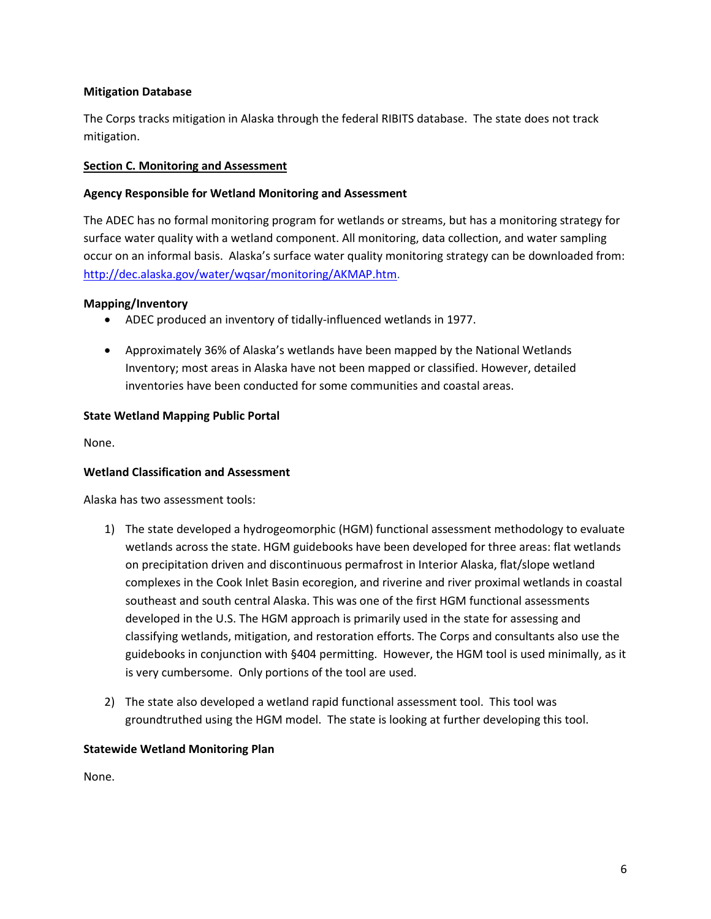## **Mitigation Database**

The Corps tracks mitigation in Alaska through the federal RIBITS database. The state does not track mitigation.

# <span id="page-5-0"></span>**Section C. Monitoring and Assessment**

# **Agency Responsible for Wetland Monitoring and Assessment**

The ADEC has no formal monitoring program for wetlands or streams, but has a monitoring strategy for surface water quality with a wetland component. All monitoring, data collection, and water sampling occur on an informal basis. Alaska's surface water quality monitoring strategy can be downloaded from: [http://dec.alaska.gov/water/wqsar/monitoring/AKMAP.htm.](http://dec.alaska.gov/water/wqsar/monitoring/AKMAP.htm)

### **Mapping/Inventory**

- ADEC produced an inventory of tidally-influenced wetlands in 1977.
- Approximately 36% of Alaska's wetlands have been mapped by the National Wetlands Inventory; most areas in Alaska have not been mapped or classified. However, detailed inventories have been conducted for some communities and coastal areas.

# **State Wetland Mapping Public Portal**

None.

### **Wetland Classification and Assessment**

Alaska has two assessment tools:

- 1) The state developed a hydrogeomorphic (HGM) functional assessment methodology to evaluate wetlands across the state. HGM guidebooks have been developed for three areas: flat wetlands on precipitation driven and discontinuous permafrost in Interior Alaska, flat/slope wetland complexes in the Cook Inlet Basin ecoregion, and riverine and river proximal wetlands in coastal southeast and south central Alaska. This was one of the first HGM functional assessments developed in the U.S. The HGM approach is primarily used in the state for assessing and classifying wetlands, mitigation, and restoration efforts. The Corps and consultants also use the guidebooks in conjunction with §404 permitting. However, the HGM tool is used minimally, as it is very cumbersome. Only portions of the tool are used.
- 2) The state also developed a wetland rapid functional assessment tool. This tool was groundtruthed using the HGM model. The state is looking at further developing this tool.

### **Statewide Wetland Monitoring Plan**

None.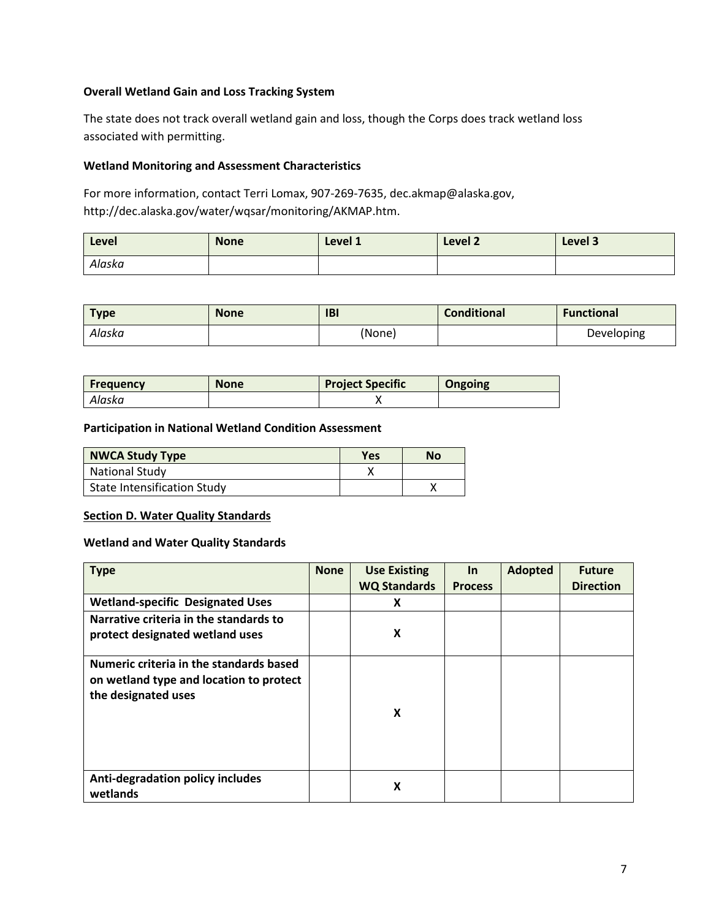# **Overall Wetland Gain and Loss Tracking System**

The state does not track overall wetland gain and loss, though the Corps does track wetland loss associated with permitting.

# **Wetland Monitoring and Assessment Characteristics**

For more information, contact Terri Lomax, 907-269-7635, dec.akmap@alaska.gov, http://dec.alaska.gov/water/wqsar/monitoring/AKMAP.htm.

| Level  | <b>None</b> | Level 1 | <b>Level 2</b> | Level 3 |
|--------|-------------|---------|----------------|---------|
| Alaska |             |         |                |         |

| <b>Type</b> | <b>None</b> | <b>IBI</b> | <b>Conditional</b> | <b>Functional</b> |
|-------------|-------------|------------|--------------------|-------------------|
| Alaska      |             | (None)     |                    | Developing        |

| <b>Frequency</b> | <b>None</b> | <b>Project Specific</b> | <b>Ongoing</b> |
|------------------|-------------|-------------------------|----------------|
| Alaska           |             |                         |                |

**Participation in National Wetland Condition Assessment**

| <b>NWCA Study Type</b>             | <b>Yes</b> | No |
|------------------------------------|------------|----|
| <b>National Study</b>              |            |    |
| <b>State Intensification Study</b> |            |    |

### <span id="page-6-0"></span>**Section D. Water Quality Standards**

**Wetland and Water Quality Standards**

| <b>Type</b>                                                                                               | <b>None</b> | <b>Use Existing</b><br><b>WQ Standards</b> | $\ln$<br><b>Process</b> | <b>Adopted</b> | <b>Future</b><br><b>Direction</b> |
|-----------------------------------------------------------------------------------------------------------|-------------|--------------------------------------------|-------------------------|----------------|-----------------------------------|
| <b>Wetland-specific Designated Uses</b>                                                                   |             | X                                          |                         |                |                                   |
| Narrative criteria in the standards to<br>protect designated wetland uses                                 |             | X                                          |                         |                |                                   |
| Numeric criteria in the standards based<br>on wetland type and location to protect<br>the designated uses |             | X                                          |                         |                |                                   |
| Anti-degradation policy includes<br>wetlands                                                              |             | X                                          |                         |                |                                   |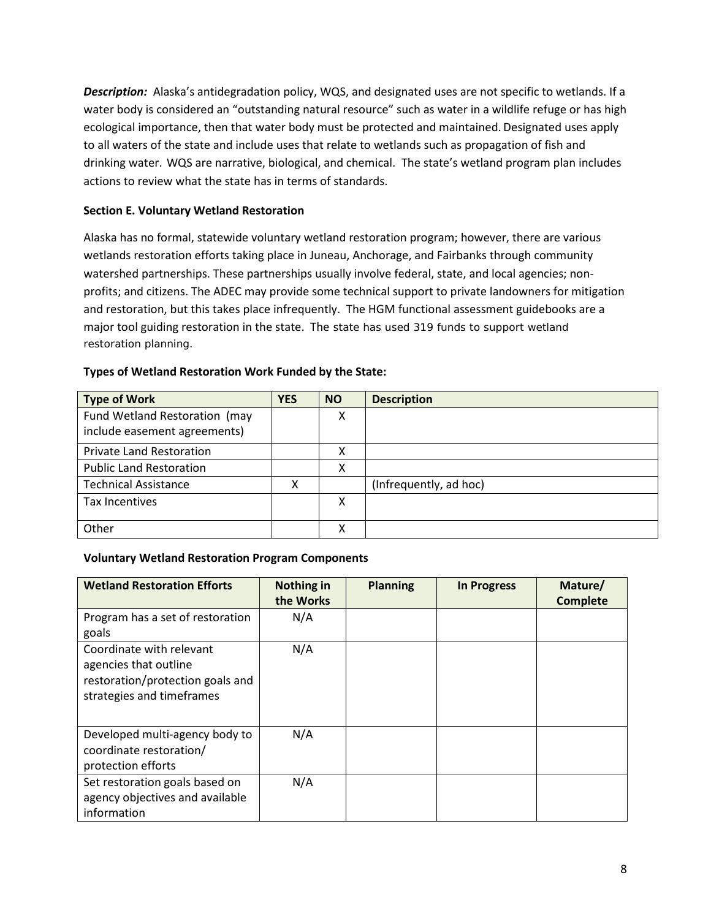*Description:* Alaska's antidegradation policy, WQS, and designated uses are not specific to wetlands. If a water body is considered an "outstanding natural resource" such as water in a wildlife refuge or has high ecological importance, then that water body must be protected and maintained.Designated uses apply to all waters of the state and include uses that relate to wetlands such as propagation of fish and drinking water. WQS are narrative, biological, and chemical. The state's wetland program plan includes actions to review what the state has in terms of standards.

# <span id="page-7-1"></span><span id="page-7-0"></span>**Section E. Voluntary Wetland Restoration**

Alaska has no formal, statewide voluntary wetland restoration program; however, there are various wetlands restoration efforts taking place in Juneau, Anchorage, and Fairbanks through community watershed partnerships. These partnerships usually involve federal, state, and local agencies; nonprofits; and citizens. The ADEC may provide some technical support to private landowners for mitigation and restoration, but this takes place infrequently. The HGM functional assessment guidebooks are a major tool guiding restoration in the state. The state has used 319 funds to support wetland restoration planning.

| <b>Type of Work</b>             | <b>YES</b> | <b>NO</b> | <b>Description</b>     |
|---------------------------------|------------|-----------|------------------------|
| Fund Wetland Restoration (may   |            | Χ         |                        |
| include easement agreements)    |            |           |                        |
| <b>Private Land Restoration</b> |            | Χ         |                        |
| <b>Public Land Restoration</b>  |            | Χ         |                        |
| <b>Technical Assistance</b>     | х          |           | (Infrequently, ad hoc) |
| Tax Incentives                  |            | Χ         |                        |
|                                 |            |           |                        |
| Other                           |            | χ         |                        |

# **Types of Wetland Restoration Work Funded by the State:**

### **Voluntary Wetland Restoration Program Components**

| <b>Wetland Restoration Efforts</b>                                                                                 | Nothing in<br>the Works | <b>Planning</b> | <b>In Progress</b> | Mature/<br><b>Complete</b> |
|--------------------------------------------------------------------------------------------------------------------|-------------------------|-----------------|--------------------|----------------------------|
| Program has a set of restoration<br>goals                                                                          | N/A                     |                 |                    |                            |
| Coordinate with relevant<br>agencies that outline<br>restoration/protection goals and<br>strategies and timeframes | N/A                     |                 |                    |                            |
| Developed multi-agency body to<br>coordinate restoration/<br>protection efforts                                    | N/A                     |                 |                    |                            |
| Set restoration goals based on<br>agency objectives and available<br>information                                   | N/A                     |                 |                    |                            |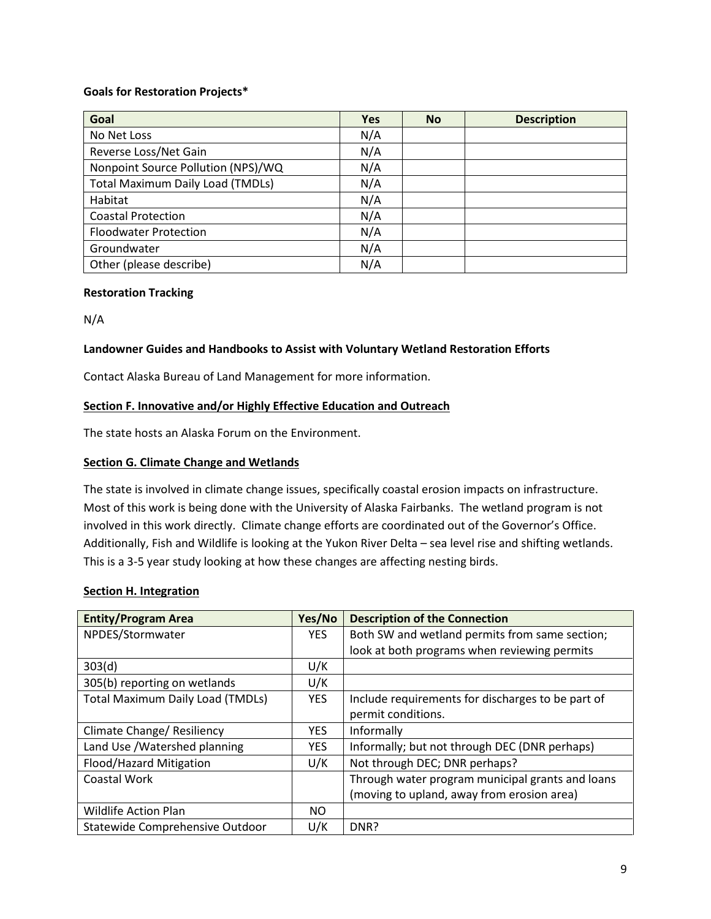## **Goals for Restoration Projects\***

| Goal                                    | <b>Yes</b> | <b>No</b> | <b>Description</b> |
|-----------------------------------------|------------|-----------|--------------------|
| No Net Loss                             | N/A        |           |                    |
| Reverse Loss/Net Gain                   | N/A        |           |                    |
| Nonpoint Source Pollution (NPS)/WQ      | N/A        |           |                    |
| <b>Total Maximum Daily Load (TMDLs)</b> | N/A        |           |                    |
| Habitat                                 | N/A        |           |                    |
| <b>Coastal Protection</b>               | N/A        |           |                    |
| <b>Floodwater Protection</b>            | N/A        |           |                    |
| Groundwater                             | N/A        |           |                    |
| Other (please describe)                 | N/A        |           |                    |

### **Restoration Tracking**

N/A

### **Landowner Guides and Handbooks to Assist with Voluntary Wetland Restoration Efforts**

Contact Alaska Bureau of Land Management for more information.

### <span id="page-8-0"></span>**Section F. Innovative and/or Highly Effective Education and Outreach**

The state hosts an Alaska Forum on the Environment.

### **Section G. Climate Change and Wetlands**

The state is involved in climate change issues, specifically coastal erosion impacts on infrastructure. Most of this work is being done with the University of Alaska Fairbanks. The wetland program is not involved in this work directly. Climate change efforts are coordinated out of the Governor's Office. Additionally, Fish and Wildlife is looking at the Yukon River Delta – sea level rise and shifting wetlands. This is a 3-5 year study looking at how these changes are affecting nesting birds.

### <span id="page-8-1"></span>**Section H. Integration**

| <b>Entity/Program Area</b>              | Yes/No     | <b>Description of the Connection</b>              |
|-----------------------------------------|------------|---------------------------------------------------|
| NPDES/Stormwater                        | <b>YES</b> | Both SW and wetland permits from same section;    |
|                                         |            | look at both programs when reviewing permits      |
| 303(d)                                  | U/K        |                                                   |
| 305(b) reporting on wetlands            | U/K        |                                                   |
| <b>Total Maximum Daily Load (TMDLs)</b> | <b>YES</b> | Include requirements for discharges to be part of |
|                                         |            | permit conditions.                                |
| Climate Change/ Resiliency              | <b>YES</b> | Informally                                        |
| Land Use / Watershed planning           | <b>YES</b> | Informally; but not through DEC (DNR perhaps)     |
| Flood/Hazard Mitigation                 | U/K        | Not through DEC; DNR perhaps?                     |
| Coastal Work                            |            | Through water program municipal grants and loans  |
|                                         |            | (moving to upland, away from erosion area)        |
| <b>Wildlife Action Plan</b>             | NO.        |                                                   |
| Statewide Comprehensive Outdoor         | U/K        | DNR?                                              |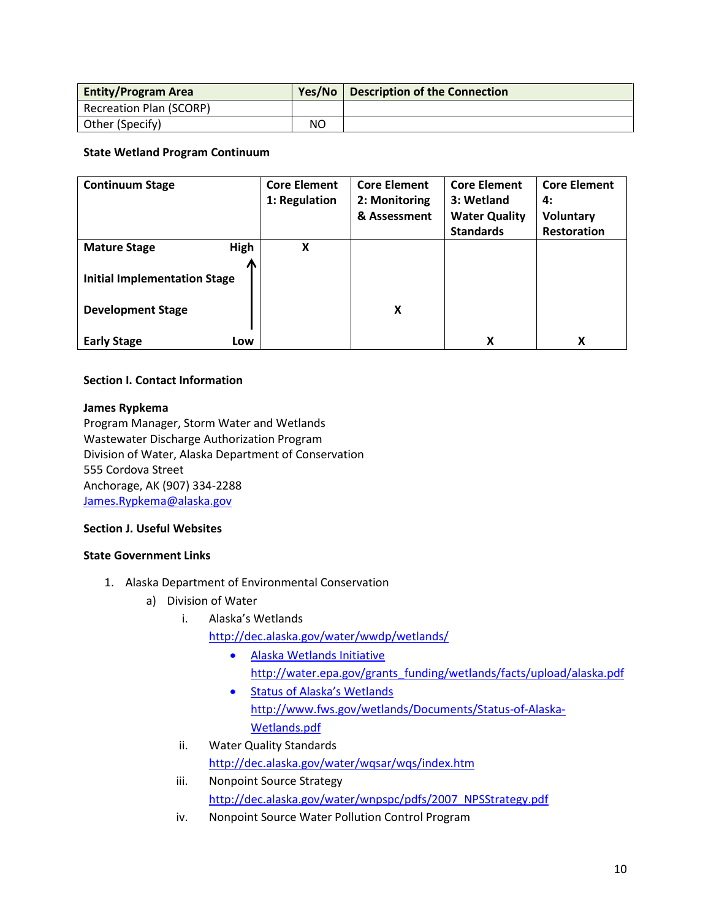| <b>Entity/Program Area</b> | Yes/No | <b>Description of the Connection</b> |
|----------------------------|--------|--------------------------------------|
| Recreation Plan (SCORP)    |        |                                      |
| Other (Specify)            | NO     |                                      |

# **State Wetland Program Continuum**

| <b>Continuum Stage</b>                                          | <b>Core Element</b> | <b>Core Element</b> | <b>Core Element</b>  | <b>Core Element</b> |
|-----------------------------------------------------------------|---------------------|---------------------|----------------------|---------------------|
|                                                                 | 1: Regulation       | 2: Monitoring       | 3: Wetland           | 4:                  |
|                                                                 |                     | & Assessment        | <b>Water Quality</b> | <b>Voluntary</b>    |
|                                                                 |                     |                     | <b>Standards</b>     | <b>Restoration</b>  |
| High<br><b>Mature Stage</b>                                     | X                   |                     |                      |                     |
| <b>Initial Implementation Stage</b><br><b>Development Stage</b> |                     | X                   |                      |                     |
| <b>Early Stage</b><br>Low                                       |                     |                     | X                    | X                   |

# **Section I. Contact Information**

### **James Rypkema**

Program Manager, Storm Water and Wetlands Wastewater Discharge Authorization Program Division of Water, Alaska Department of Conservation 555 Cordova Street Anchorage, AK (907) 334-2288 [James.Rypkema@alaska.gov](mailto:James.Rypkema@alaska.gov)

### **Section J. Useful Websites**

### **State Government Links**

- 1. Alaska Department of Environmental Conservation
	- a) Division of Water
		- i. Alaska's Wetlands <http://dec.alaska.gov/water/wwdp/wetlands/>
			- Alaska Wetlands Initiative
				- [http://water.epa.gov/grants\\_funding/wetlands/facts/upload/alaska.pdf](http://water.epa.gov/grants_funding/wetlands/facts/upload/alaska.pdf)
			- Status of Alaska's Wetlands [http://www.fws.gov/wetlands/Documents/Status-of-Alaska-](http://www.fws.gov/wetlands/Documents/Status-of-Alaska-Wetlands.pdf)[Wetlands.pdf](http://www.fws.gov/wetlands/Documents/Status-of-Alaska-Wetlands.pdf)
		- ii. Water Quality Standards

# <http://dec.alaska.gov/water/wqsar/wqs/index.htm>

- iii. Nonpoint Source Strategy [http://dec.alaska.gov/water/wnpspc/pdfs/2007\\_NPSStrategy.pdf](http://dec.alaska.gov/water/wnpspc/pdfs/2007_NPSStrategy.pdf)
- iv. Nonpoint Source Water Pollution Control Program